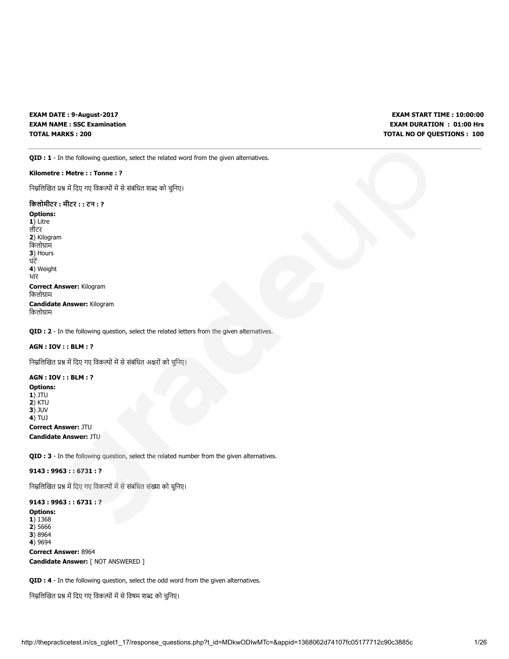EXAM DATE : 9-August-2017 EXAM NAME : SSC Examination TOTAL MARKS : 200

EXAM START TIME : 10:00:00 EXAM DURATION : 01:00 Hrs TOTAL NO OF QUESTIONS : 100

QID : 1 - In the following question, select the related word from the given alternatives.

## Kilometre : Metre : : Tonne : ?

निम्नलिखित प्रश्न में दिए गए विकल्पों में से संबंधित शब्द को चुनिए।

## िकलोमीटर : मीटर : : टन : ?

Options: 1) Litre लीटर 2) Kilogram किलोग्राम 3) Hours घंट 4) Weight भार Correct Answer: Kilogram किलोग्राम Candidate Answer: Kilogram किलोग्राम

QID : 2 - In the following question, select the related letters from the given alternatives.

## AGN : IOV : : BLM : ?

निम्नलिखित प्रश्न में दिए गए विकल्पों में से संबंधित अक्षरों को चुनिए।

## AGN : IOV : : BLM : ?

Options:  $1)$  JTU

2) KTU 3) JUV 4) TUJ

# Correct Answer: JTU

Candidate Answer: JTU

QID : 3 - In the following question, select the related number from the given alternatives.

## 9143 : 9963 : : 6731 : ?

निम्नलिखित प्रश्न में दिए गए विकल्पों में से संबंधित संख्या को चुनिए।

## 9143 : 9963 : : 6731 : ?

Options: 1) 1368 2) 5666 3) 8964 4) 9694 Correct Answer: 8964 Candidate Answer: [ NOT ANSWERED ]

QID : 4 - In the following question, select the odd word from the given alternatives.

निम्नलिखित प्रश्न में दिए गए विकल्पों में से विषम शब्द को चुनिए।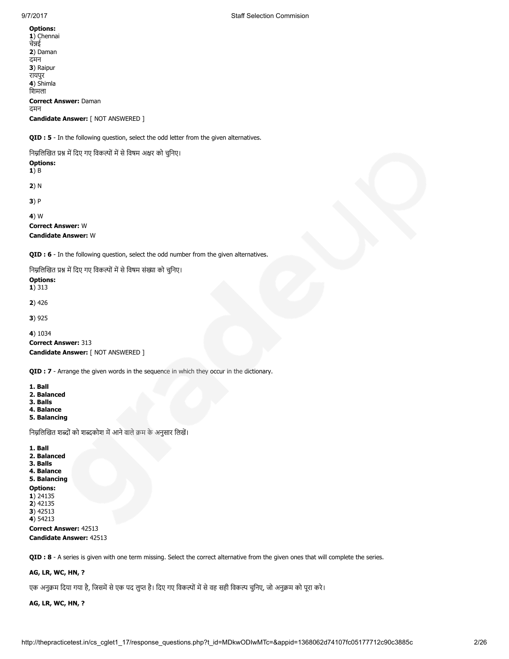1) Chennai चेन्नई 2) Daman दमन 3) Raipur रायपुर 4) Shimla िशमला Correct Answer: Daman दमन Candidate Answer: [ NOT ANSWERED ]

QID : 5 - In the following question, select the odd letter from the given alternatives.

निम्नलिखित प्रश्न में दिए गए विकल्पों में से विषम अक्षर को चुनिए। Options: 1) B 2) N 3) P 4) W Correct Answer: W Candidate Answer: W

QID : 6 - In the following question, select the odd number from the given alternatives.

निम्नलिखित प्रश्न में दिए गए विकल्पों में से विषम संख्या को चुनिए।

## Options:

1) 313

2) 426

3) 925

```
4) 1034
Correct Answer: 313
Candidate Answer: [ NOT ANSWERED ]
```
QID : 7 - Arrange the given words in the sequence in which they occur in the dictionary.

1. Ball

- 2. Balanced
- 3. Balls
- 4. Balance
- 5. Balancing

निम्नलिखित शब्दों को शब्दकोश में आने वाले क्रम के अनुसार लिखें।

1. Ball 2. Balanced 3. Balls 4. Balance 5. Balancing Options: 1) 24135 2) 42135 3) 42513 4) 54213 Correct Answer: 42513 Candidate Answer: 42513

QID : 8 - A series is given with one term missing. Select the correct alternative from the given ones that will complete the series.

## AG, LR, WC, HN, ?

एक अनुक्रम दिया गया है, जिसमें से एक पद लुप्त है। दिए गए विकल्पों में से वह सही विकल्प चुनिए, जो अनुक्रम को पूरा करे।

## AG, LR, WC, HN, ?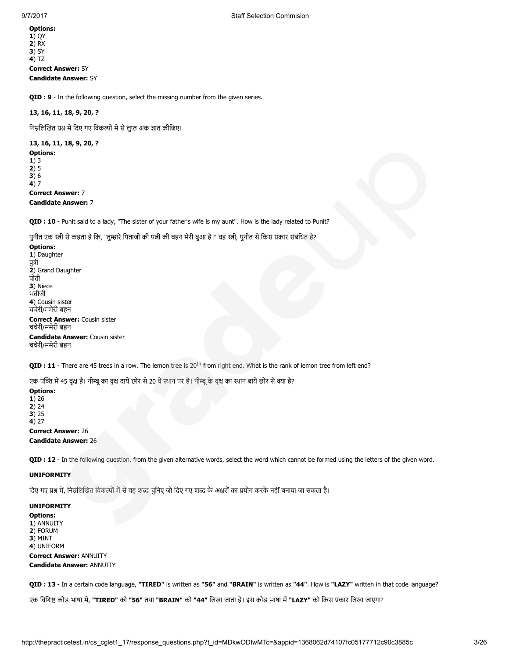Options: 1) QY 2) RX **3)** SY 4) TZ Correct Answer: SY Candidate Answer: SY

QID : 9 - In the following question, select the missing number from the given series.

## 13, 16, 11, 18, 9, 20, ?

निम्नलिखित प्रश्न में दिए गए विकल्पों में से लुप्त अंक ज्ञात कीजिए।

## 13, 16, 11, 18, 9, 20, ?

Options: 1) 3 2) 5 3) 6 4) 7 Correct Answer: 7 Candidate Answer: 7

QID : 10 - Punit said to a lady, "The sister of your father's wife is my aunt". How is the lady related to Punit?

पुनीत एक स्त्री से कहता है कि, "तुम्हारे पिताजी की पत्नी की बहन मेरी बुआ है।" वह स्त्री, पुनीत से किस प्रकार संबंधित है?

Options: 1) Daughter पुत्री 2) Grand Daughter पोती 3) Niece भतीजी 4) Cousin sister चचेरी/ममेरी बहन

Correct Answer: Cousin sister चचेरी/ममेरी बहन Candidate Answer: Cousin sister चचेरी/ममेरी बहन

QID : 11 - There are 45 trees in a row. The lemon tree is 20<sup>th</sup> from right end. What is the rank of lemon tree from left end?

एक पंक्ति में 45 वृक्ष हैं। नीम्बू का वृक्ष दायें छोर से 20 वें स्थान पर है। नीम्बू के वृक्ष का स्थान बायें छोर से क्या है?

Options: 1) 26  $2) 24$ 3) 25 4) 27

Correct Answer: 26 Candidate Answer: 26

QID : 12 - In the following question, from the given alternative words, select the word which cannot be formed using the letters of the given word.

#### UNIFORMITY

दिए गए प्रश्न में, निम्नलिखित विकल्पों में से वह शब्द चुनिए जो दिए गए शब्द के अक्षरों का प्रयोग करके नहीं बनाया जा सकता है।

UNIFORMITY Options: 1) ANNUITY 2) FORUM 3) MINT 4) UNIFORM Correct Answer: ANNUITY Candidate Answer: ANNUITY

QID : 13 - In a certain code language, "TIRED" is written as "56" and "BRAIN" is written as "44". How is "LAZY" written in that code language?

एक विशिष्ट कोड भाषा में, "TIRED" को "56" तथा "BRAIN" को "44" लिखा जाता है। इस कोड भाषा में "LAZY" को किस प्रकार लिखा जाएगा?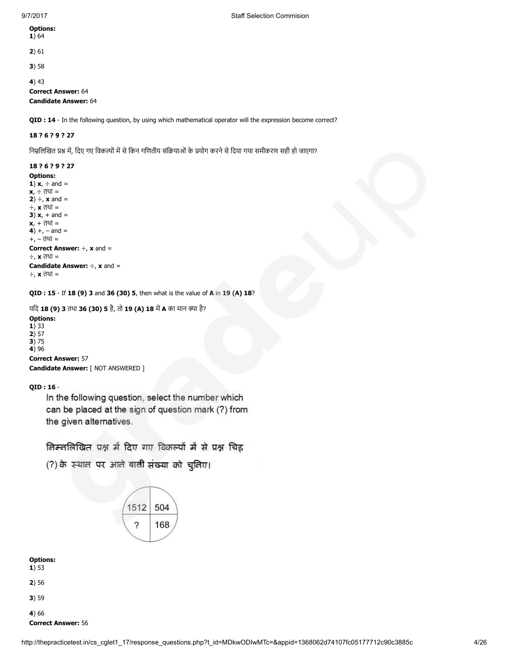| <b>Options:</b> |  |
|-----------------|--|
| 1 \ 64          |  |

1) 64

2) 61

3) 58

4) 43

Correct Answer: 64

Candidate Answer: 64

QID : 14 - In the following question, by using which mathematical operator will the expression become correct?

## 18 ? 6 ? 9 ? 27

निम्नलिखित प्रश्न में, दिए गए विकल्पों में से किन गणितीय संक्रियाओं के प्रयोग करने से दिया गया समीकरण सही हो जाएगा?

## 18 ? 6 ? 9 ? 27

Options: 1)  $x_t$  ÷ and =  $x, \div$  तथा = 2)  $\div$ , **x** and = ÷, x तथा = 3)  $x, +$  and =  $x, + \bar{d} =$ 4)  $+$ ,  $-$  and  $=$ +, – तथा = Correct Answer: ÷, x and = ÷, x तथा = **Candidate Answer:**  $\div$ **, x and =** ÷, x तथा =

QID : 15 - If 18 (9) 3 and 36 (30) 5, then what is the value of A in 19 (A) 18?

यदि 18 (9) 3 तथा 36 (30) 5 है, तो 19 (A) 18 में A का मान क्या है?

### Options: 1) 33

 $2) 57$ 3) 75

4) 96 Correct Answer: 57

Candidate Answer: [ NOT ANSWERED ]

## QID : 16 -

In the following question, select the number which can be placed at the sign of question mark (?) from the given alternatives.

निम्नलिखित प्रश्न में दिए गए विकल्पों में से प्रश्न चिह्न

(?) के स्थान पर आने वाली संख्या को चुनिए।



Options:

- 1) 53
- 2) 56
- 3) 59
- 4) 66 Correct Answer: 56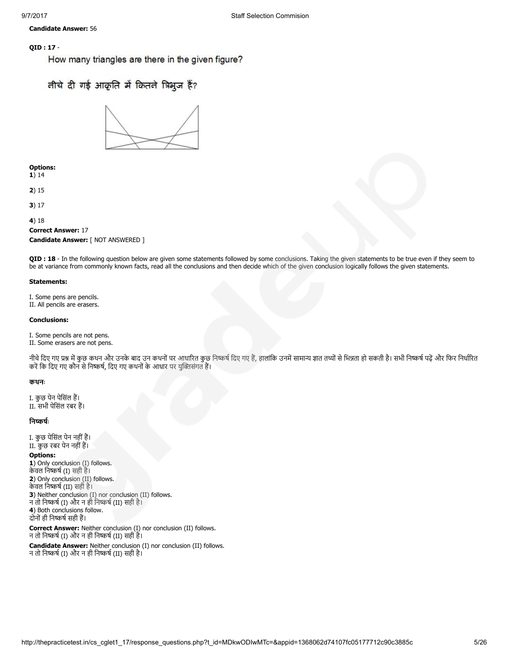Candidate Answer: 56

## QID : 17 -

How many triangles are there in the given figure?

# तीचे दी गई आकृति में कितने त्रिभुज हैं?



#### Options: 1) 14

- 2) 15
- 3) 17

4) 18

## Correct Answer: 17 Candidate Answer: [ NOT ANSWERED ]

QID : 18 - In the following question below are given some statements followed by some conclusions. Taking the given statements to be true even if they seem to be at variance from commonly known facts, read all the conclusions and then decide which of the given conclusion logically follows the given statements.

## Statements:

I. Some pens are pencils. II. All pencils are erasers.

## Conclusions:

I. Some pencils are not pens. II. Some erasers are not pens.

नीचे दिए गए प्रश्न में कुछ कथन और उनके बाद उन कथनों पर आधारित कुछ निष्कर्ष दिए गए हैं, हालांकि उनमें सामान्य ज्ञात तथ्यों से भिन्नता हो सकती है। सभी निष्कर्ष पढ़ें और फिर निर्धारित करें कि दिए गए कौन से निष्कर्ष, दिए गए कथनों के आधार पर युक्तिसंगत हैं।

## कथनः

I. कुछ पेन पेिसंल ह। II. सभी पेिसंल रबर ह।

## निष्कर्षः

I. कुछ पेिसंल पेन नहींह। II. कुछ रबर पेन नहींह।

## Options:

1) Only conclusion (I) follows. केवल निष्कर्ष (I) सही है। 2) Only conclusion (II) follows. केवल निष्कर्ष (II) सही है। 3) Neither conclusion (I) nor conclusion (II) follows. न तो निष्कर्ष (I) और न ही निष्कर्ष (II) सही है। 4) Both conclusions follow. दोनों ही निष्कर्ष सही हैं।

Correct Answer: Neither conclusion (I) nor conclusion (II) follows. न तो निष्कर्ष (I) और न ही निष्कर्ष (II) सही है।

Candidate Answer: Neither conclusion (I) nor conclusion (II) follows. न तो निष्कर्ष (I) और न ही निष्कर्ष (II) सही है।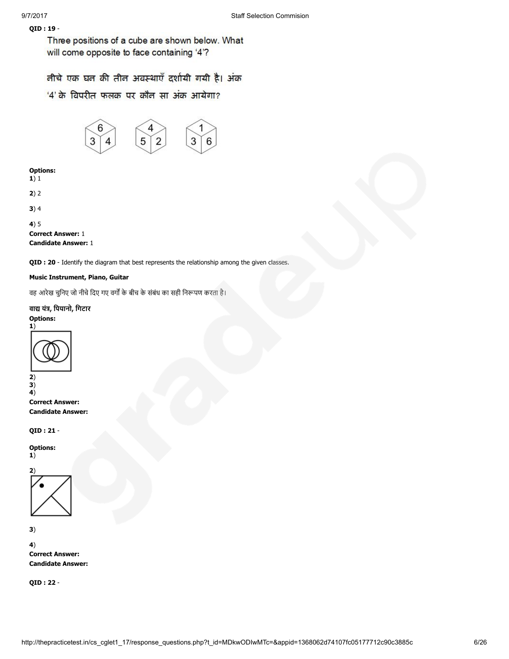## QID : 19 -

Three positions of a cube are shown below. What will come opposite to face containing '4'?

तीचे एक घत की तीत अवस्थाएँ दर्शायी गयी है। अंक

'4' के विपरीत फलक पर कौन सा अंक आयेगा?



## Options:

 $1)1$ 

```
2) 2
```
3) 4

```
4) 5
```
Correct Answer: 1 Candidate Answer: 1

QID : 20 - Identify the diagram that best represents the relationship among the given classes.

## Music Instrument, Piano, Guitar

वह आरेख चुनिए जो नीचे दिए गए वर्गों के बीच के संबंध का सही निरूपण करता है।

## वाद्य यंत्र, पियानो, गिटार

## Options:



Correct Answer: Candidate Answer:

QID : 21 -

Options: 1)



3)

4) Correct Answer: Candidate Answer:

QID : 22 -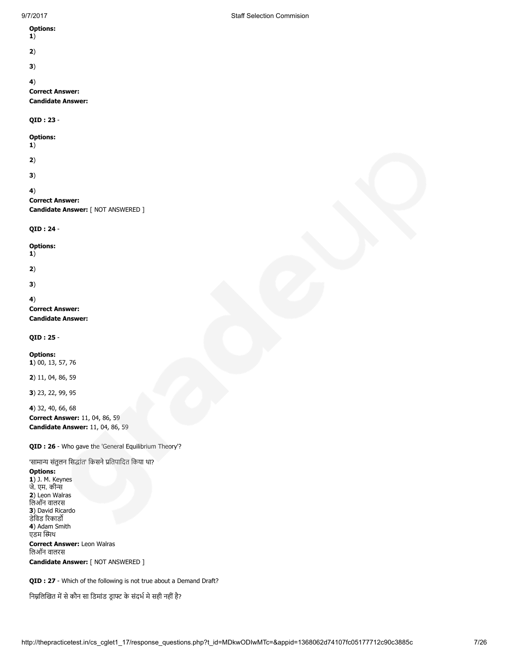## Options:

- 
- 
- 3)

## 4)

Correct Answer:

# Candidate Answer:

QID : 23 -

## Options:

1)

2)

3)

## 4)

Correct Answer: Candidate Answer: [ NOT ANSWERED ]

QID : 24 -

## Options:

1)

2)

3)

## 4)

Correct Answer: Candidate Answer:

QID : 25 -

Options: 1) 00, 13, 57, 76

2) 11, 04, 86, 59

3) 23, 22, 99, 95

4) 32, 40, 66, 68 Correct Answer: 11, 04, 86, 59 Candidate Answer: 11, 04, 86, 59

QID : 26 - Who gave the 'General Equilibrium Theory'?

'सामान्य संतुलन सिद्धांत' किसने प्रतिपादित किया था?

## Options:

**1**) J. M. Keynes जे. एम. की 2) Leon Walras िलऑन वालरस 3) David Ricardo डेविड रिकार्डो 4) Adam Smith एडम थ

Correct Answer: Leon Walras िलऑन वालरस Candidate Answer: [ NOT ANSWERED ]

QID : 27 - Which of the following is not true about a Demand Draft?

निम्नलिखित में से कौन सा डिमांड ड्राफ्ट के संदर्भ मे सही नहीं है?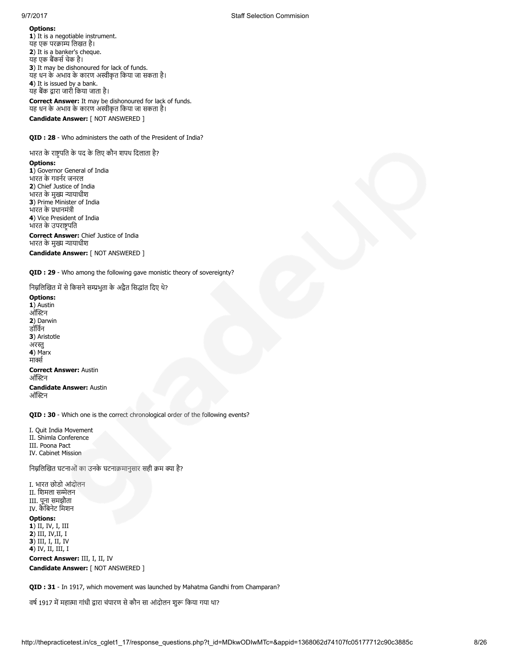1) It is a negotiable instrument. यह एक परक्राम्य लिखत है। 2) It is a banker's cheque. यह एक बैंकर्स चेक है। 3) It may be dishonoured for lack of funds. यह धन के अभाव के कारण अस्वीकृत किया जा सकता है। 4) It is issued by a bank. यह बक ारा जारी िकया जाता है।

Correct Answer: It may be dishonoured for lack of funds. यह धन के अभाव के कारण अस्वीकृत किया जा सकता है। Candidate Answer: [ NOT ANSWERED ]

QID : 28 - Who administers the oath of the President of India?

भारत के राष्ट्रपति के पद के लिए कौन शपथ दिलाता है? Options: 1) Governor General of India भारत के गवनर जनरल 2) Chief Justice of India भारत के मुख्य न्यायाधीश 3) Prime Minister of India भारत के प्रधानमंत्री 4) Vice President of India भारत के उपराष्ट्रपति Correct Answer: Chief Justice of India भारत के मुख्य न्यायाधीश

Candidate Answer: [ NOT ANSWERED ]

QID : 29 - Who among the following gave monistic theory of sovereignty?

निम्नलिखित में से किसने सम्प्रभुता के अद्वैत सिद्धांत दिए थे?

Options: 1) Austin ऑस्टिन 2) Darwin डॉिवन 3) Aristotle अरस्तु 4) Marx मार्क्स Correct Answer: Austin ऑस्टिन Candidate Answer: Austin ऑस्टिन

QID : 30 - Which one is the correct chronological order of the following events?

I. Quit India Movement II. Shimla Conference III. Poona Pact IV. Cabinet Mission

निम्नलिखित घटनाओं का उनके घटनाक्रमानुसार सही क्रम क्या है?

I. भारत छोडो आंदोलन II. शिमला सम्मेलन III. पूना समझौता IV. कैिबनेट िमशन

## Options:

1) II, IV, I, III 2) III, IV,II, I 3) III, I, II, IV 4) IV, II, III, I

Correct Answer: III, I, II, IV Candidate Answer: [ NOT ANSWERED ]

QID : 31 - In 1917, which movement was launched by Mahatma Gandhi from Champaran?

वर्ष 1917 में महात्मा गांधी द्वारा चंपारण से कौन सा आंदोलन शुरू किया गया था?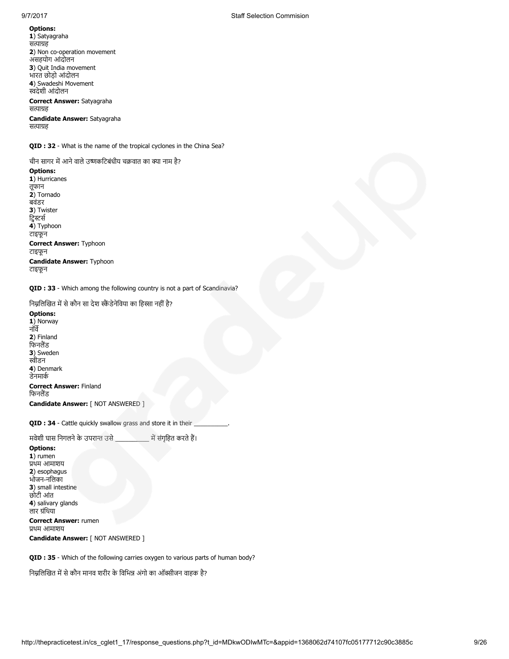1) Satyagraha सत्याग्रह 2) Non co-operation movement असहयोग आंदोलन 3) Quit India movement भारत छोड़ो आंदोलन 4) Swadeshi Movement देशी आंदोलन

### Correct Answer: Satyagraha सत्याग्रह

Candidate Answer: Satyagraha सत्याग्रह

QID : 32 - What is the name of the tropical cyclones in the China Sea?

चीन सागर में आने वाले उष्णकटिबंधीय चक्रवात का क्या नाम है?

## Options:

1) Hurricanes तूफान 2) Tornado बवंडर 3) Twister द्विस्टर्स 4) Typhoon टाइफून Correct Answer: Typhoon टाइफून Candidate Answer: Typhoon टाइफून

QID : 33 - Which among the following country is not a part of Scandinavia?

निम्नलिखित में से कौन सा देश स्कैंडेनेविया का हिस्सा नहीं है?

Options: 1) Norway नॉव 2) Finland फिनलैंड 3) Sweden स्वीडन 4) Denmark डेनमाक Correct Answer: Finland फिनलैंड Candidate Answer: [ NOT ANSWERED ]

QID : 34 - Cattle quickly swallow grass and store it in their

मवेशी घास निगलने के उपरान्त उसे \_\_\_\_\_\_\_\_\_\_\_ में संगृहित करते हैं।

## Options:  $1)$  rumen थम आमाशय 2) esophagus भोजन-निलका 3) small intestine छोटी आंत 4) salivary glands लार ग्रंथिया

Correct Answer: rumen थम आमाशय

Candidate Answer: [ NOT ANSWERED ]

QID : 35 - Which of the following carries oxygen to various parts of human body?

निम्नलिखित में से कौन मानव शरीर के विभिन्न अंगो का ऑक्सीजन वाहक है?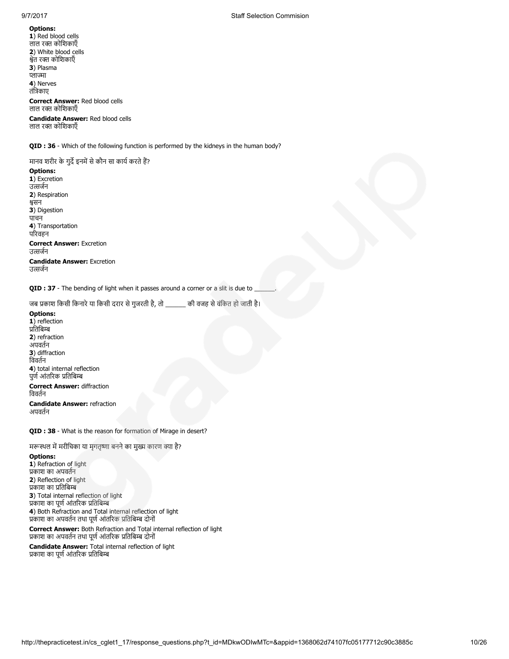1) Red blood cells लाल रक्त कोशिकाएँ 2) White blood cells ेत र कोिशकाएँ 3) Plasma प्लाज्मा 4) Nerves तंिकाए

Correct Answer: Red blood cells लाल र कोिशकाएँ

Candidate Answer: Red blood cells लाल र कोिशकाएँ

QID : 36 - Which of the following function is performed by the kidneys in the human body?

मानव शरीर के गुर्दे इनमें से कौन सा कार्य करते हैं?

#### Options:

1) Excretion उत्सर्जन 2) Respiration सन 3) Digestion पाचन 4) Transportation परवहन Correct Answer: Excretion उत्सर्जन Candidate Answer: Excretion उत्सर्जन

QID : 37 - The bending of light when it passes around a corner or a slit is due to

जब प्रकाश किसी किनारे या किसी दरार से गुजरती है, तो \_\_\_\_\_\_ की वजह से वंकित हो जाती है।

Options: 1) reflection प्रतिबिम्ब 2) refraction अपवतन 3) diffraction िववतन 4) total internal reflection पूर्ण आंतरिक प्रतिबिम्ब Correct Answer: diffraction िववतन Candidate Answer: refraction अपवतन

QID : 38 - What is the reason for formation of Mirage in desert?

मरूस्थल में मरीचिका या मगतृष्णा बनने का मुख्य कारण क्या है?

#### Options:

1) Refraction of light काश का अपवतन 2) Reflection of light प्रकाश का प्रतिबिम्ब 3) Total internal reflection of light प्रकाश का पूर्ण आंतरिक प्रतिबिम्ब 4) Both Refraction and Total internal reflection of light प्रकाश का अपवर्तन तथा पूर्ण आंतरिक प्रतिबिम्ब दोनों

Correct Answer: Both Refraction and Total internal reflection of light प्रकाश का अपवर्तन तथा पूर्ण आंतरिक प्रतिबिम्ब दोनों

Candidate Answer: Total internal reflection of light प्रकाश का पूर्ण आंतरिक प्रतिबिम्ब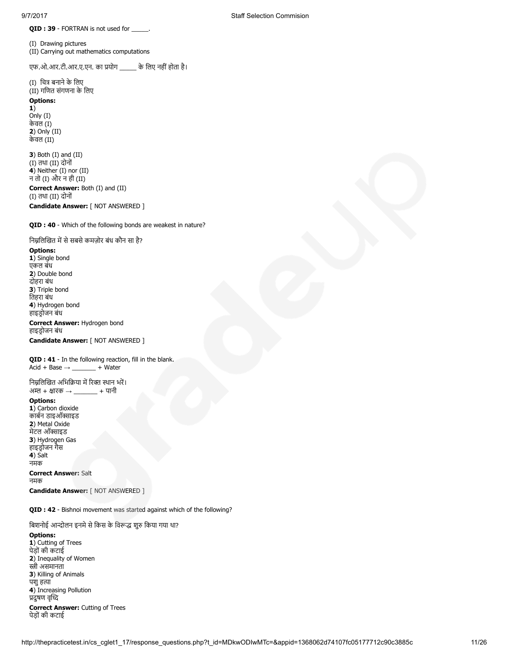QID : 39 - FORTRAN is not used for \_\_\_\_

(I) Drawing pictures (II) Carrying out mathematics computations

एफ.ओ.आर.टी.आर.ए.एन. का प्रयोग \_\_\_\_\_\_ के लिए नहीं होता है।

(I) चित्र बनाने के लिए (II) गिणत संगणना के िलए

Options:

1) Only (I) केवल (I) 2) Only (II) केवल (II)

3) Both (I) and (II) (I) तथा (II) दोनों 4) Neither (I) nor (II) न तो (I) और न ही (II) Correct Answer: Both (I) and (II) (I) तथा (II) दोनों

Candidate Answer: [ NOT ANSWERED ]

## QID : 40 - Which of the following bonds are weakest in nature?

निम्नलिखित में से सबसे कमज़ोर बंध कौन सा है?

#### Options:

1) Single bond एकल बंध 2) Double bond दोहरा बंध 3) Triple bond ितहरा बंध 4) Hydrogen bond हाइडोजन बंध

## Correct Answer: Hydrogen bond हाइडोजन बंध

Candidate Answer: [ NOT ANSWERED ]

QID : 41 - In the following reaction, fill in the blank.  $Acid + Base \rightarrow$  \_\_\_\_\_\_\_\_ + Water

निम्नलिखित अभिक्रिया में रिक्त स्थान भरें। अम्ल + क्षारक  $\rightarrow$   $\qquad$  + पानी

## Options:

1) Carbon dioxide कार्बन डाइऑक्साइड 2) Metal Oxide मेंटल ऑक्साइड 3) Hydrogen Gas हाइडोजन गैस 4) Salt नमक Correct Answer: Salt

नमक Candidate Answer: [ NOT ANSWERED ]

QID : 42 - Bishnoi movement was started against which of the following?

बिशनोई आन्दोलन इनमे से किस के विरूद्ध शुरु किया गया था?

## Options:

1) Cutting of Trees पेड़ों की कटाई 2) Inequality of Women स्त्री असमानता 3) Killing of Animals पशु हत्या 4) Increasing Pollution दुषण वृद Correct Answer: Cutting of Trees पेड़ों की कटाई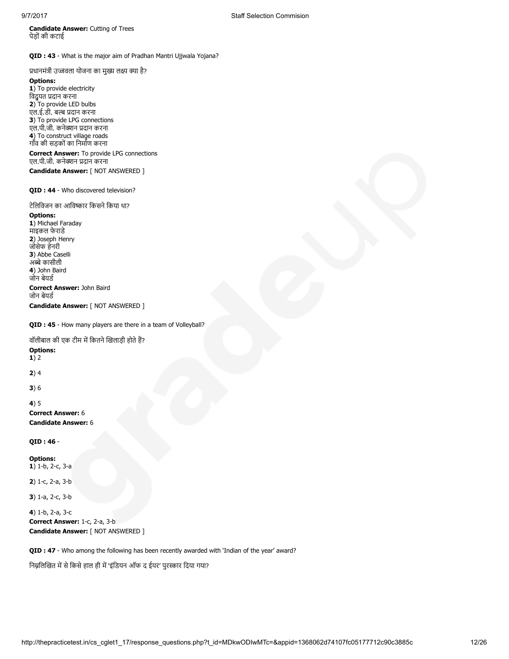Candidate Answer: Cutting of Trees पेड़ों की कटाई

QID : 43 - What is the major aim of Pradhan Mantri Ujjwala Yojana?

प्रधानमंत्री उज्जवला योजना का मुख्य लक्ष्य क्या है?

#### Options:

1) To provide electricity िवद्ुयत दान करना 2) To provide LED bulbs एल.ई.डी. बल्ब प्रदान करना 3) To provide LPG connections एल.पी.जी. कनेक्शन प्रदान करना 4) To construct village roads गाँव की सड़कों का िनमाण करना

Correct Answer: To provide LPG connections एल.पी.जी. कनेक्शन प्रदान करना Candidate Answer: [ NOT ANSWERED ]

## QID : 44 - Who discovered television?

## टेलिविजन का आविष्कार किसने किया था?

Options: 1) Michael Faraday माइकल फेराडे 2) Joseph Henry जोसेफ हेनरी 3) Abbe Caselli अब्बे कासीली 4) John Baird जोन बेयड Correct Answer: John Baird जोन बेयड Candidate Answer: [ NOT ANSWERED ]

## QID : 45 - How many players are there in a team of Volleyball?

वॉलीबाल की एक टीम में कितने खिलाड़ी होते हैं?

## Options:

1) 2

2) 4

3) 6

## 4) 5

Correct Answer: 6 Candidate Answer: 6

## QID : 46 -

Options: 1) 1-b, 2-c, 3-a

2) 1-c, 2-a, 3-b

3) 1-a, 2-c, 3-b

4) 1-b, 2-a, 3-c Correct Answer: 1-c, 2-a, 3-b Candidate Answer: [ NOT ANSWERED ]

QID : 47 - Who among the following has been recently awarded with 'Indian of the year' award?

निम्नलिखित में से किसे हाल ही में 'इंडियन ऑफ द ईयर' पुरस्कार दिया गया?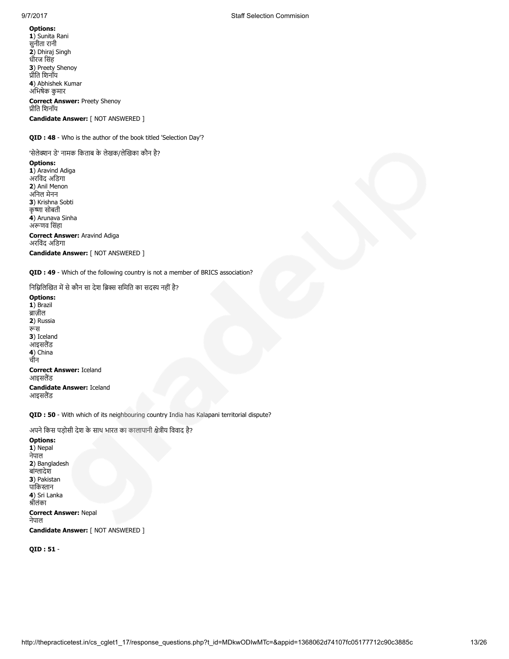1) Sunita Rani सुनीता रानी 2) Dhiraj Singh धीरज िसंह 3) Preety Shenoy ीित िशनॉय 4) Abhishek Kumar अिभषेक कुमार Correct Answer: Preety Shenoy ीित िशनॉय

Candidate Answer: [ NOT ANSWERED ]

QID : 48 - Who is the author of the book titled 'Selection Day'?

'सेलेक्शन डे' नामक किताब के लेखक/लेखिका कौन है?

## Options:

1) Aravind Adiga अरविंद अडिगा 2) Anil Menon अिनल मेनन 3) Krishna Sobti कृष्णा सोबती 4) Arunava Sinha अणव िसंहा Correct Answer: Aravind Adiga अरविंद अडिगा Candidate Answer: [ NOT ANSWERED ]

QID : 49 - Which of the following country is not a member of BRICS association?

निम्निलिखित में से कौन सा देश ब्रिक्स समिति का सदस्य नहीं है?

Options: 1) Brazil ब्राज़ील 2) Russia रूस 3) Iceland आइसलैंड 4) China चीन Correct Answer: Iceland आइसलैंड Candidate Answer: Iceland आइसलैंड

QID : 50 - With which of its neighbouring country India has Kalapani territorial dispute?

अपने किस पड़ोसी देश के साथ भारत का कालापानी क्षेत्रीय विवाद है? Options: 1) Nepal नेपाल 2) Bangladesh बांादेश 3) Pakistan पाकिस्तान 4) Sri Lanka ीलंका Correct Answer: Nepal नेपाल Candidate Answer: [ NOT ANSWERED ]

QID : 51 -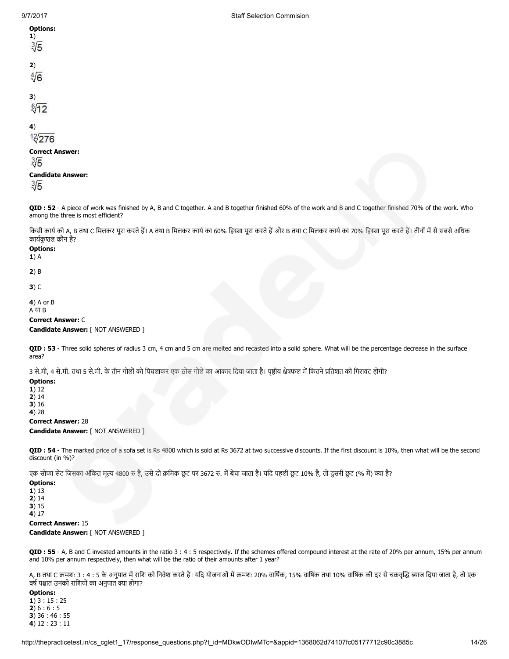| <b>Options:</b><br>1)<br>$\sqrt[3]{5}$    |
|-------------------------------------------|
| 2)<br>$\sqrt[4]{6}$                       |
| 3)<br>$\sqrt[6]{12}$                      |
| 4)<br>12/276                              |
| <b>Correct Answer:</b><br>$\sqrt[3]{5}$   |
| <b>Candidate Answer:</b><br>$\sqrt[3]{5}$ |

QID : 52 - A piece of work was finished by A, B and C together. A and B together finished 60% of the work and B and C together finished 70% of the work. Who among the three is most efficient?

किसी कार्य को A, B तथा C मिलकर पूरा करते हैं। A तथा B मिलकर कार्य का 60% हिस्सा पूरा करते का अधिक कार्यका 70% हिस्सा पूरा करते हैं। तीनों में से सबसे अधिक कायकुशल कौन है?

## Options:

1) A

2) B

3) C

4) A or B A या B

## Correct Answer: C

Candidate Answer: [ NOT ANSWERED ]

QID : 53 - Three solid spheres of radius 3 cm, 4 cm and 5 cm are melted and recasted into a solid sphere. What will be the percentage decrease in the surface area?

3 से.मी, 4 से.मी. तथा 5 से.मी. के तीन गोलों को पिघलाकर एक ठोस गोले का आकार दिया जाता है। पृष्ठीय क्षेत्रफल में कितने प्रतिशत की गिरावट होगी?

Options: 1) 12 2) 14 3) 16

4) 28

## Correct Answer: 28

Candidate Answer: [ NOT ANSWERED ]

QID : 54 - The marked price of a sofa set is Rs 4800 which is sold at Rs 3672 at two successive discounts. If the first discount is 10%, then what will be the second discount (in %)?

एक सोफा सेट जिसका अंकित मूल्य 4800 रु है, उसे दो क्रमिक छूट पर 3672 रु. में बेचा जाता है। यदि पहली छूट 10% है, तो दूसरी छूट (% में) क्या है?

## Options:

1) 13 2) 14

3) 15 4) 17

## Correct Answer: 15

Candidate Answer: [ NOT ANSWERED ]

QID : 55 - A, B and C invested amounts in the ratio 3 : 4 : 5 respectively. If the schemes offered compound interest at the rate of 20% per annum, 15% per annum and 10% per annum respectively, then what will be the ratio of their amounts after 1 year?

A, B तथा C क्रमशः 3 : 4 : 5 के अनुपात में राशि को निवेश करते हैं। यदि योजनाओं में क्रमशः 20% वार्षिक, 15% वार्षिक तथा 10% वार्षिक की दर से चक्रवृद्धि ब्याज दिया जाता है, तो एक वर्ष पश्चात उनकी राशियों का अनपात क्या होगा?

## Options:

 $1)$  3 : 15 : 25  $2) 6 : 6 : 5$ 3) 36 : 46 : 55 4) 12 : 23 : 11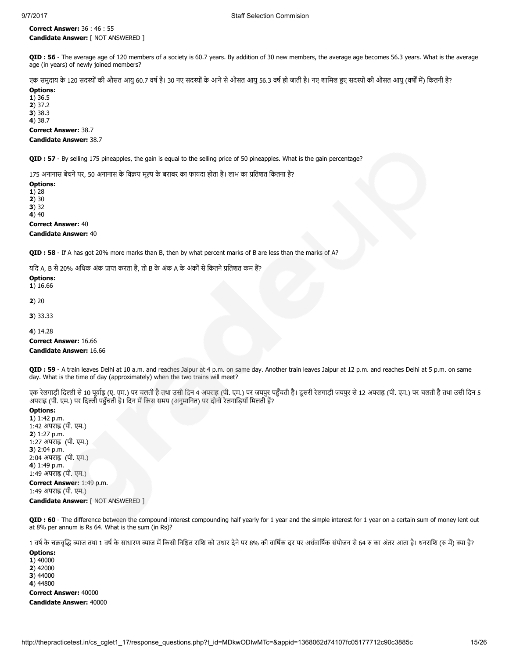Correct Answer: 36 : 46 : 55 Candidate Answer: [ NOT ANSWERED ]

QID : 56 - The average age of 120 members of a society is 60.7 years. By addition of 30 new members, the average age becomes 56.3 years. What is the average age (in years) of newly joined members?

एक समुदाय के 120 सदस्यों की औसत आयु 60.7 वर्ष है। 30 नए सदस्यों के आने से औसत आयु 56.3 वर्ष हो जाती है। नए शामिल हुए सदस्यों की औसत आयु (वर्षों में) कितनी है? Options:

1) 36.5 2) 37.2 3) 38.3

4) 38.7

Correct Answer: 38.7

## Candidate Answer: 38.7

QID : 57 - By selling 175 pineapples, the gain is equal to the selling price of 50 pineapples. What is the gain percentage?

175 अनानास बेचने पर, 50 अनानास के विक्रय मूल्य के बराबर का फायदा होता है। लाभ का प्रतिशत कितना है?

## Options:

1) 28

2) 30

3) 32

4) 40 Correct Answer: 40

Candidate Answer: 40

QID : 58 - If A has got 20% more marks than B, then by what percent marks of B are less than the marks of A?

यदि A, B से 20% अधिक अंक प्राप्त करता है, तो B के अंक A के अंकों से कितने प्रतिशत कम हैं?

## Options:

1) 16.66

2) 20

3) 33.33

4) 14.28

Correct Answer: 16.66 Candidate Answer: 16.66

QID : 59 - A train leaves Delhi at 10 a.m. and reaches Jaipur at 4 p.m. on same day. Another train leaves Jaipur at 12 p.m. and reaches Delhi at 5 p.m. on same day. What is the time of day (approximately) when the two trains will meet?

एक रेलगाड़ी दिल्ली से 10 पूर्वाह्न (ए. एम.) पर चलती है तथा उसी दिन 4 अपराह (पी. एम.) पर जयपुर पहुँचती है। दूसरी रेलगाड़ी जयपुर से 12 अपराह (पी. एम.) पर चलती है तथा उसी दिन 5 अपराह्न (पी. एम.) पर दिल्ली पहुँचती है। दिन में किस समय (अनुमानित) पर दोनों रेलगाड़ियाँ मिलती हैं?

## Options:

1) 1:42 p.m. 1:42 अपराह्न (पी. एम.) 2) 1:27 p.m. 1:27 अपराह (पी. एम.) 3) 2:04 p.m. 2:04 अपराह (पी. एम.) 4) 1:49 p.m. 1:49 अपराह्न (पी. एम.) Correct Answer: 1:49 p.m. 1:49 अपराह्न (पी. एम.)

Candidate Answer: [ NOT ANSWERED ]

QID : 60 - The difference between the compound interest compounding half yearly for 1 year and the simple interest for 1 year on a certain sum of money lent out at 8% per annum is Rs 64. What is the sum (in Rs)?

1 वर्ष के चक्रवृद्धि ब्याज तथा 1 वर्ष के साधारण ब्याज में किसी निश्चित राशि को उधार देने पर 8% की वार्षिक पर अधवार्षिक संयोजन से 64 रु का अंतर आता है। धनराशि (रु में) क्या है?

Options: 1) 40000 2) 42000 3) 44000 4) 44800 Correct Answer: 40000

Candidate Answer: 40000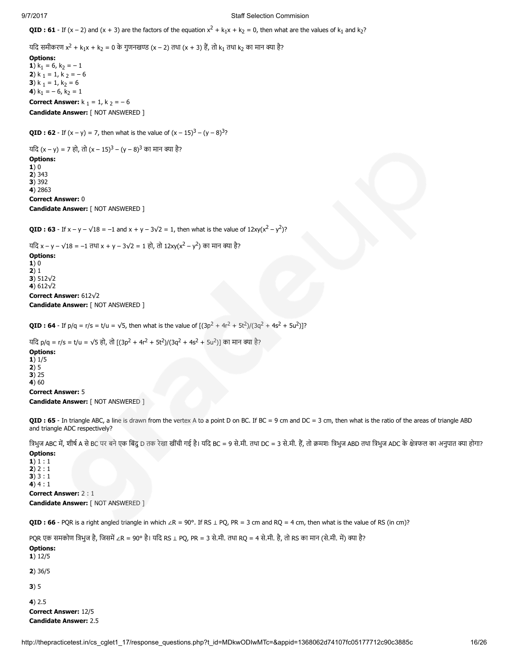**QID : 61** - If  $(x - 2)$  and  $(x + 3)$  are the factors of the equation  $x^2 + k_1x + k_2 = 0$ , then what are the values of  $k_1$  and  $k_2$ ?

यदि समीकरण x<sup>2</sup> + k<sub>1</sub>x + k<sub>2</sub> = 0 के गुणनखण्ड (x – 2) तथा (x + 3) हैं, तो k<sub>1</sub> तथा k<sub>2</sub> का मान क्या है?

Options: 1)  $k_1 = 6$ ,  $k_2 = -1$ 2)  $k_1 = 1, k_2 = -6$ 3) k  $_1 = 1$ , k<sub>2</sub> = 6 4)  $k_1 = -6, k_2 = 1$ **Correct Answer:**  $k_1 = 1$ ,  $k_2 = -6$ Candidate Answer: [ NOT ANSWERED ]

**QID : 62** - If  $(x - y) = 7$ , then what is the value of  $(x - 15)^3 - (y - 8)^3$ ?

यदि (x – y) = 7 हो, तो (x – 15)<sup>3</sup> – (y – 8)<sup>3</sup> का मान क्या है? Options:  $1)0$ 2) 343 3) 392 4) 2863 Correct Answer: 0 Candidate Answer: [ NOT ANSWERED ]

**QID : 63** - If  $x - y - \sqrt{18} = -1$  and  $x + y - 3\sqrt{2} = 1$ , then what is the value of  $12xy(x^2 - y^2)$ ?

यदि x – y –  $\sqrt{18}$  = –1 तथा x + y – 3 $\sqrt{2}$  = 1 हो, तो 12xy(x<sup>2</sup> – y<sup>2</sup>) का मान क्या है? Options:

1) 0 2) 1 3) 512√2 4) 612√2 Correct Answer: 612√2

Candidate Answer: [ NOT ANSWERED ]

**QID : 64** - If  $p/q = r/s = t/u = \sqrt{5}$ , then what is the value of  $[(3p^2 + 4r^2 + 5t^2)/(3q^2 + 4s^2 + 5u^2)]$ ?

यदि p/q = r/s = t/u = √5 हो, तो [(3p<sup>2</sup> + 4r<sup>2</sup> + 5t<sup>2</sup>)/(3q<sup>2</sup> + 4s<sup>2</sup> + 5u<sup>2</sup>)] का मान क्या है?

Options: 1) 1/5 2) 5 3) 25 4) 60 Correct Answer: 5 Candidate Answer: [ NOT ANSWERED ]

QID : 65 - In triangle ABC, a line is drawn from the vertex A to a point D on BC. If BC = 9 cm and DC = 3 cm, then what is the ratio of the areas of triangle ABD and triangle ADC respectively?

त्रिभुज ABC में, शीर्ष A से BC पर बने एक बिंदु D तक रेखा खींची गई है। यदि BC = 9 से.मी. तथा DC = 3 से.मी. हैं, तो क्रमशः त्रिभुज ABD तथा त्रिभुज ADC के क्षेत्रफल का अनुपात क्या होगा? Options:

1) 1 : 1  $2) 2 : 1$ 3) 3 : 1  $4) 4 : 1$ Correct Answer: 2 : 1 Candidate Answer: [ NOT ANSWERED ]

QID : 66 - PQR is a right angled triangle in which ∠R = 90°. If RS  $\perp$  PQ, PR = 3 cm and RQ = 4 cm, then what is the value of RS (in cm)?

PQR एक समकोण त्रिभुज है, जिसमें ∠R = 90° है। यदि RS ⊥ PQ, PR = 3 से.मी. तथा RQ = 4 से.मी. है, तो RS का मान (से.मी. में) क्या है? Options: 1) 12/5 2) 36/5 3) 5 4) 2.5 Correct Answer: 12/5 Candidate Answer: 2.5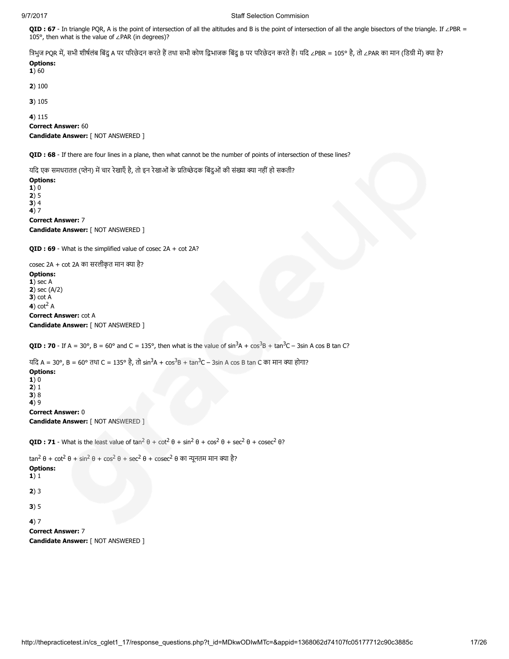QID : 67 - In triangle PQR, A is the point of intersection of all the altitudes and B is the point of intersection of all the angle bisectors of the triangle. If ∠PBR = 105°, then what is the value of ∠PAR (in degrees)?

त्रिभुज PQR में, सभी शीर्षलंब बिंदु A पर परिछेदन करते हैं तथा सभी कोण द्विभाजक बिंदु B पर परिछेदन करते हैं। यदि ∠PBR = 105° है, तो ∠PAR का मान (डिग्री में) क्या है? Options:

## $1)60$

2) 100

3) 105

4) 115

Correct Answer: 60

Candidate Answer: [ NOT ANSWERED ]

QID : 68 - If there are four lines in a plane, then what cannot be the number of points of intersection of these lines?

यदि एक समधरातल (प्लेन) में चार रेखाएँ है, तो इन रेखाओं के प्रतिच्छेदक बिंदुओं की संख्या क्या नहीं हो सकती?

## Options:

1) 0

2) 5

3) 4 4) 7

Correct Answer: 7 Candidate Answer: [ NOT ANSWERED ]

QID : 69 - What is the simplified value of cosec 2A + cot 2A?

cosec 2A + cot 2A का सरलीकृत मान क्या है?

Options:  $1)$  sec A 2) sec (A/2)  $3)$  cot  $A$  $4)$  cot<sup>2</sup> A Correct Answer: cot A Candidate Answer: [ NOT ANSWERED ]

**QID : 70** - If A = 30°, B = 60° and C = 135°, then what is the value of  $\sin^3 A + \cos^3 B + \tan^3 C - 3\sin A$  cos B tan C?

यदि A = 30°, B = 60° तथा C = 135° है, तो sin<sup>3</sup>A + cos<sup>3</sup>B + tan<sup>3</sup>C – 3sin A cos B tan C का मान क्या होगा?

## Options:

1) 0 2) 1 3) 8 4) 9 Correct Answer: 0 Candidate Answer: [ NOT ANSWERED ]

**QID : 71** - What is the least value of  $\tan^2 \theta + \cot^2 \theta + \sin^2 \theta + \cos^2 \theta + \sec^2 \theta + \csc^2 \theta$ ?

```
tan<sup>2</sup> \theta + cot<sup>2</sup> \theta + sin<sup>2</sup> \theta + cos<sup>2</sup> \theta + cosec<sup>2</sup> \theta का न्यूनतम मान क्या है?
Options:
1) 1
2) 3
3) 5
```
4) 7 Correct Answer: 7 Candidate Answer: [ NOT ANSWERED ]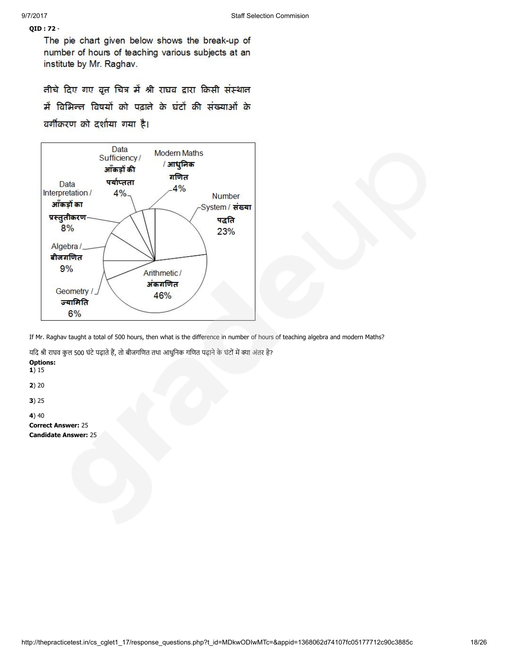## QID : 72 -

The pie chart given below shows the break-up of number of hours of teaching various subjects at an institute by Mr. Raghav.

तीचे दिए गए वृत्त चित्र में श्री राघव द्वारा किसी संस्थान में विभिन्त विषयों को पढ़ाते के घंटों की संख्याओं के वर्गीकरण को दर्शाया गया है।



If Mr. Raghav taught a total of 500 hours, then what is the difference in number of hours of teaching algebra and modern Maths?

यदि श्री राघव कुल 500 घंटे पढ़ाते हैं, तो बीजगणित तथा आधुनिक गणित पढ़ाने के घंटों में क्या अंतर है?

Options: 1) 15 2) 20 3) 25

4) 40 Correct Answer: 25 Candidate Answer: 25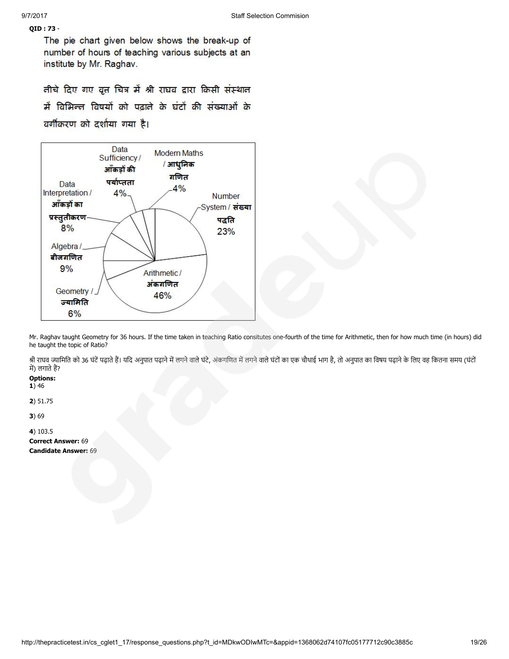## QID : 73 -

The pie chart given below shows the break-up of number of hours of teaching various subjects at an institute by Mr. Raghav.

तीचे दिए गए वृत्त चित्र में श्री राघव द्वारा किसी संस्थात में विभिन्त विषयों को पढ़ाते के घंटों की संख्याओं के वर्गीकरण को दर्शाया गया है।



Mr. Raghav taught Geometry for 36 hours. If the time taken in teaching Ratio consitutes one-fourth of the time for Arithmetic, then for how much time (in hours) did he taught the topic of Ratio?

श्री राघव ज्यामिति को 36 घंटें पढ़ाते हैं। यदि अनुपात पढ़ाने में लगने। पति माने वाले घंटों का एक चौथाई भाग है, तो अनुपात का विषय पढ़ाने के लिए वह कितना समय (घंटों में) लगाते हैं?

## Options:

 $1) 46$ 

2) 51.75

3) 69

4) 103.5 Correct Answer: 69 Candidate Answer: 69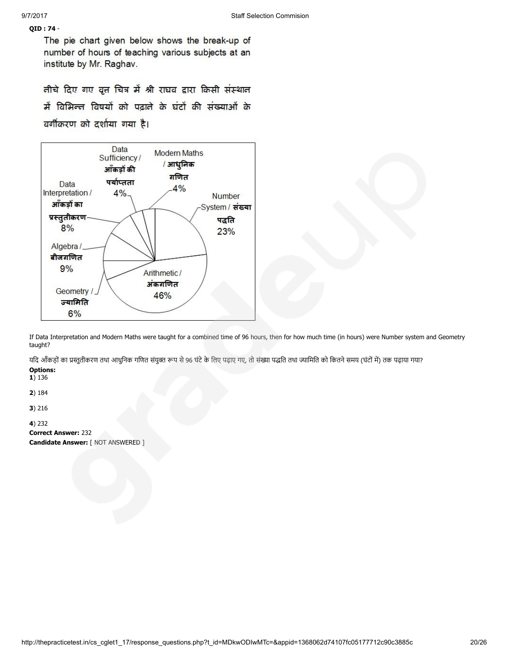## QID : 74 -

The pie chart given below shows the break-up of number of hours of teaching various subjects at an institute by Mr. Raghav.

तीचे दिए गए वृत्त चित्र में श्री राघव द्वारा किसी संस्थात में विभिन्त विषयों को पढ़ाते के घंटों की संख्याओं के वर्गीकरण को दर्शाया गया है।



If Data Interpretation and Modern Maths were taught for a combined time of 96 hours, then for how much time (in hours) were Number system and Geometry taught?

यदि आँकड़ों का प्रस्तुतीकरण तथा आधुनिक गणित संयुक्त रूप से 96 घंटे के लिए पढ़ाए गए, तो संख्या पद्धति तथा ज्यामिति को कितने समय (घंटों में) तक पढ़ाया गया?

### Options: 1) 136

2) 184

3) 216

4) 232

Correct Answer: 232 Candidate Answer: [ NOT ANSWERED ]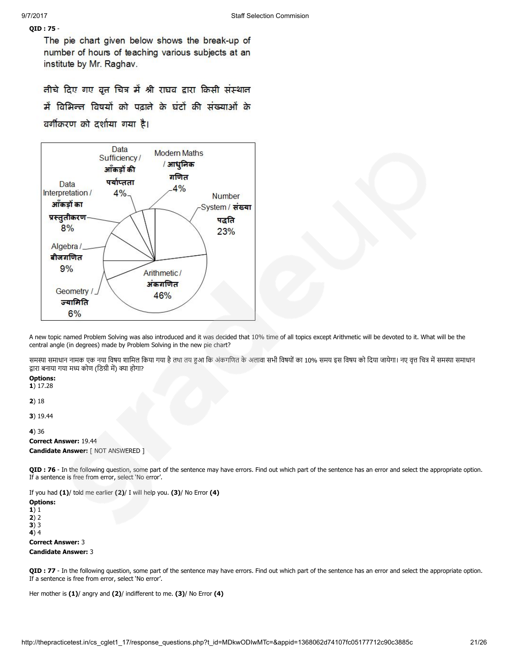## QID : 75 -

The pie chart given below shows the break-up of number of hours of teaching various subjects at an institute by Mr. Raghav.

तीचे दिए गए वृत्त चित्र में श्री राघव द्वारा किसी संस्थात में विभिन्त विषयों को पढ़ाते के घंटों की संख्याओं के वर्गीकरण को दर्शाया गया है।



A new topic named Problem Solving was also introduced and it was decided that 10% time of all topics except Arithmetic will be devoted to it. What will be the central angle (in degrees) made by Problem Solving in the new pie chart?

समस्या समाधान नामक एक नया विषय शामिल किया गया है तथा तय हुआ तिक अंकागत के अलावा सभी विषयों का 10% समय इस बिषय को दिया जायेगा। नए वृत्त चित्र में समस्या समाधान द्वारा बनाया गया मध्य कोण (डिग्री में) क्या होगा?

## Options:

1) 17.28

2) 18

3) 19.44

4) 36

Correct Answer: 19.44 Candidate Answer: [ NOT ANSWERED ]

QID : 76 - In the following question, some part of the sentence may have errors. Find out which part of the sentence has an error and select the appropriate option. If a sentence is free from error, select 'No error'.

If you had (1)/ told me earlier (2)/ I will help you. (3)/ No Error (4)

Options: 1) 1 2) 2 3) 3  $(4)4$ 

Correct Answer: 3

Candidate Answer: 3

QID : 77 - In the following question, some part of the sentence may have errors. Find out which part of the sentence has an error and select the appropriate option. If a sentence is free from error, select 'No error'.

Her mother is (1)/ angry and (2)/ indifferent to me. (3)/ No Error (4)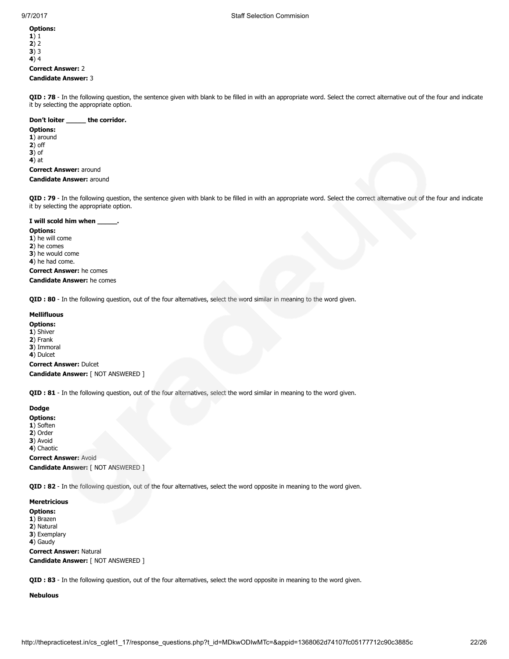1) 1 2) 2  $3)$  3 4) 4 Correct Answer: 2

## Candidate Answer: 3

QID : 78 - In the following question, the sentence given with blank to be filled in with an appropriate word. Select the correct alternative out of the four and indicate it by selecting the appropriate option.

## Don't loiter \_\_\_\_\_\_ the corridor.

Options: 1) around 2) off 3) of 4) at Correct Answer: around

Candidate Answer: around

QID : 79 - In the following question, the sentence given with blank to be filled in with an appropriate word. Select the correct alternative out of the four and indicate it by selecting the appropriate option.

### I will scold him when \_\_\_

Options: 1) he will come 2) he comes 3) he would come 4) he had come.

## Correct Answer: he comes Candidate Answer: he comes

QID : 80 - In the following question, out of the four alternatives, select the word similar in meaning to the word given.

## Mellifluous

- Options:
- 1) Shiver
- 2) Frank
- 3) Immoral
- 4) Dulcet

Correct Answer: Dulcet Candidate Answer: [ NOT ANSWERED ]

QID : 81 - In the following question, out of the four alternatives, select the word similar in meaning to the word given.

## Dodge

- Options:
- 1) Soften
- 2) Order
- 3) Avoid 4) Chaotic

Correct Answer: Avoid

Candidate Answer: [ NOT ANSWERED ]

QID : 82 - In the following question, out of the four alternatives, select the word opposite in meaning to the word given.

#### Meretricious

Options:

- 1) Brazen
- 2) Natural 3) Exemplary
- 4) Gaudy

Correct Answer: Natural Candidate Answer: [ NOT ANSWERED ]

QID : 83 - In the following question, out of the four alternatives, select the word opposite in meaning to the word given.

Nebulous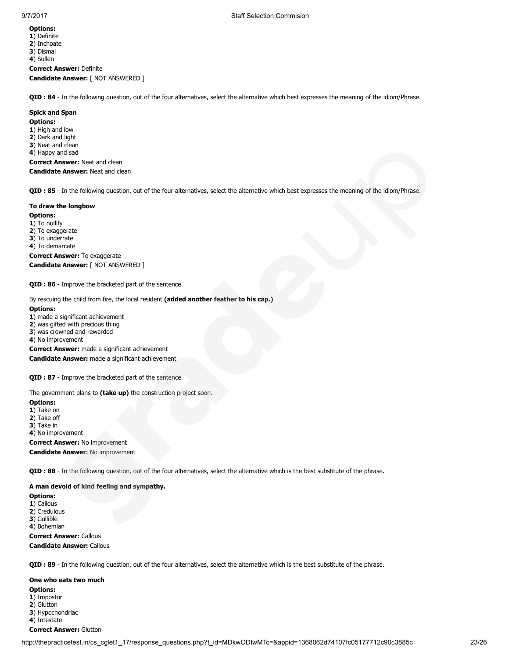1) Definite 2) Inchoate 3) Dismal

4) Sullen

Correct Answer: Definite Candidate Answer: [ NOT ANSWERED ]

QID : 84 - In the following question, out of the four alternatives, select the alternative which best expresses the meaning of the idiom/Phrase.

#### Spick and Span

Options: 1) High and low 2) Dark and light 3) Neat and clean 4) Happy and sad Correct Answer: Neat and clean

#### Candidate Answer: Neat and clean

QID : 85 - In the following question, out of the four alternatives, select the alternative which best expresses the meaning of the idiom/Phrase.

### To draw the longbow

Options: 1) To nullify 2) To exaggerate 3) To underrate 4) To demarcate Correct Answer: To exaggerate Candidate Answer: [ NOT ANSWERED ]

QID : 86 - Improve the bracketed part of the sentence.

By rescuing the child from fire, the local resident (added another feather to his cap.)

#### Options:

1) made a significant achievement

2) was gifted with precious thing

3) was crowned and rewarded

4) No improvement

Correct Answer: made a significant achievement Candidate Answer: made a significant achievement

QID : 87 - Improve the bracketed part of the sentence.

The government plans to (take up) the construction project soon.

## Options:

1) Take on

2) Take off

3) Take in

4) No improvement

Correct Answer: No improvement

Candidate Answer: No improvement

QID : 88 - In the following question, out of the four alternatives, select the alternative which is the best substitute of the phrase.

## A man devoid of kind feeling and sympathy.

Options: 1) Callous 2) Credulous

3) Gullible

4) Bohemian

Correct Answer: Callous Candidate Answer: Callous

QID : 89 - In the following question, out of the four alternatives, select the alternative which is the best substitute of the phrase.

One who eats two much Options: 1) Impostor 2) Glutton 3) Hypochondriac 4) Intestate Correct Answer: Glutton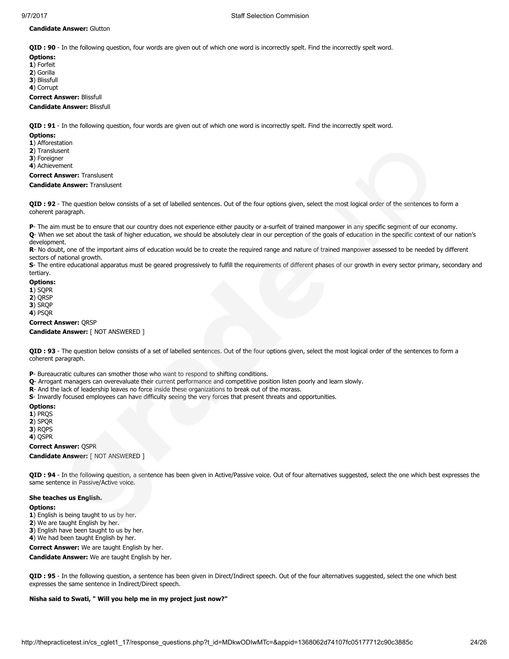### Candidate Answer: Glutton

QID : 90 - In the following question, four words are given out of which one word is incorrectly spelt. Find the incorrectly spelt word.

Options:

- 1) Forfeit
- 2) Gorilla
- 3) Blissfull
- 4) Corrupt

Correct Answer: Blissfull

## Candidate Answer: Blissfull

QID : 91 - In the following question, four words are given out of which one word is incorrectly spelt. Find the incorrectly spelt word.

#### Options:

- 1) Afforestation
- 2) Translusent
- 3) Foreigner

4) Achievement

## Correct Answer: Translusent

Candidate Answer: Translusent

QID : 92 - The question below consists of a set of labelled sentences. Out of the four options given, select the most logical order of the sentences to form a coherent paragraph.

P- The aim must be to ensure that our country does not experience either paucity or a-surfeit of trained manpower in any specific segment of our economy. Q- When we set about the task of higher education, we should be absolutely clear in our perception of the goals of education in the specific context of our nation's development.

R- No doubt, one of the important aims of education would be to create the required range and nature of trained manpower assessed to be needed by different sectors of national growth.

S- The entire educational apparatus must be geared progressively to fulfill the requirements of different phases of our growth in every sector primary, secondary and tertiary.

## Options:

- 1) SQPR
- 2) QRSP
- 3) SRQP
- 4) PSQR

Correct Answer: QRSP

Candidate Answer: [ NOT ANSWERED ]

QID : 93 - The question below consists of a set of labelled sentences. Out of the four options given, select the most logical order of the sentences to form a coherent paragraph.

P- Bureaucratic cultures can smother those who want to respond to shifting conditions.

- Q- Arrogant managers can overevaluate their current performance and competitive position listen poorly and learn slowly.
- R- And the lack of leadership leaves no force inside these organizations to break out of the morass.
- S- Inwardly focused employees can have difficulty seeing the very forces that present threats and opportunities.

## Options:

- 1) PRQS
- 2) SPQR
- 3) RQPS
- 4) QSPR

Correct Answer: QSPR

Candidate Answer: [ NOT ANSWERED ]

QID : 94 - In the following question, a sentence has been given in Active/Passive voice. Out of four alternatives suggested, select the one which best expresses the same sentence in Passive/Active voice.

#### She teaches us English.

#### Options:

1) English is being taught to us by her.

2) We are taught English by her.

3) English have been taught to us by her.

4) We had been taught English by her.

Correct Answer: We are taught English by her.

Candidate Answer: We are taught English by her.

QID : 95 - In the following question, a sentence has been given in Direct/Indirect speech. Out of the four alternatives suggested, select the one which best expresses the same sentence in Indirect/Direct speech.

## Nisha said to Swati, " Will you help me in my project just now?"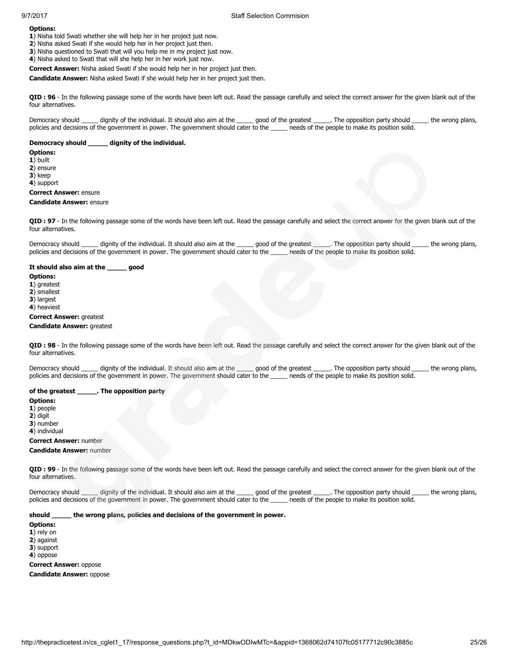1) Nisha told Swati whether she will help her in her project just now.

2) Nisha asked Swati if she would help her in her project just then. 3) Nisha questioned to Swati that will you help me in my project just now.

4) Nisha asked to Swati that will she help her in her work just now.

Correct Answer: Nisha asked Swati if she would help her in her project just then.

Candidate Answer: Nisha asked Swati if she would help her in her project just then.

QID : 96 - In the following passage some of the words have been left out. Read the passage carefully and select the correct answer for the given blank out of the four alternatives.

Democracy should \_\_\_\_\_ dignity of the individual. It should also aim at the \_\_\_\_\_ good of the greatest \_\_\_\_\_. The opposition party should \_\_\_\_\_ the wrong plans, policies and decisions of the government in power. The government should cater to the \_\_\_\_\_ needs of the people to make its position solid.

#### Democracy should \_\_\_\_\_ dignity of the individual.

#### Options:

1) built

2) ensure

3) keep

4) support

## Correct Answer: ensure

#### Candidate Answer: ensure

QID : 97 - In the following passage some of the words have been left out. Read the passage carefully and select the correct answer for the given blank out of the four alternatives.

Democracy should \_\_\_\_\_\_ dignity of the individual. It should also aim at the \_\_\_\_\_\_\_ good of the greatest \_\_\_\_\_. The opposition party should \_\_\_\_\_\_\_ the wrong plans, policies and decisions of the government in power. The government should cater to the \_\_\_\_\_ needs of the people to make its position solid.

#### It should also aim at the \_\_\_\_\_ good

Options:

1) greatest

2) smallest

3) largest

4) heaviest

#### Correct Answer: greatest

## Candidate Answer: greatest

QID : 98 - In the following passage some of the words have been left out. Read the passage carefully and select the correct answer for the given blank out of the four alternatives.

Democracy should \_\_\_\_\_ dignity of the individual. It should also aim at the \_\_\_\_\_ good of the greatest \_\_\_\_\_. The opposition party should \_\_\_\_\_ the wrong plans, policies and decisions of the government in power. The government should cater to the \_\_\_\_\_ needs of the people to make its position solid.

## of the greatest **contact of the set of the set of the set of the set of the set of the set of the set of the s**

Options:

1) people

 $2)$  digit

3) number

4) individual

Correct Answer: number

#### Candidate Answer: number

QID : 99 - In the following passage some of the words have been left out. Read the passage carefully and select the correct answer for the given blank out of the four alternatives.

Democracy should dignity of the individual. It should also aim at the qood of the greatest . The opposition party should the wrong plans, policies and decisions of the government in power. The government should cater to the \_\_\_\_\_ needs of the people to make its position solid.

## should \_\_\_\_\_ the wrong plans, policies and decisions of the government in power.

Options:

1) rely on

2) against

3) support

4) oppose

Correct Answer: oppose

Candidate Answer: oppose